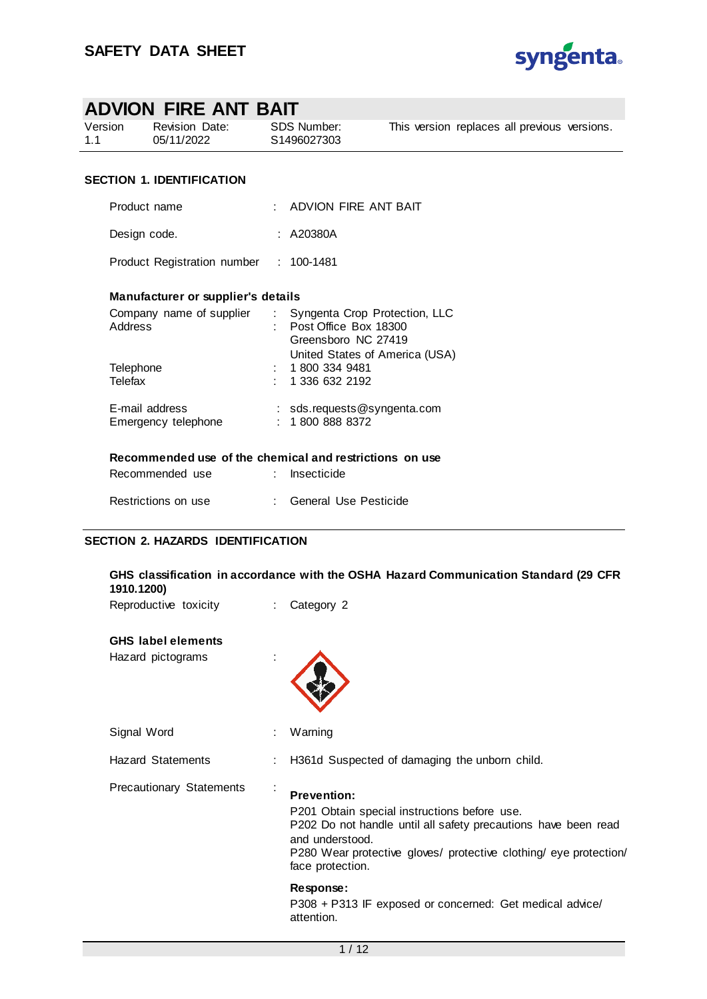

| ADVION FIRE ANT BAIT                   |                                                          |  |                                                   |                                |  |                                              |  |
|----------------------------------------|----------------------------------------------------------|--|---------------------------------------------------|--------------------------------|--|----------------------------------------------|--|
| Version<br>1.1                         | Revision Date:<br>05/11/2022                             |  | <b>SDS Number:</b><br>S1496027303                 |                                |  | This version replaces all previous versions. |  |
| <b>SECTION 1. IDENTIFICATION</b>       |                                                          |  |                                                   |                                |  |                                              |  |
| Product name                           |                                                          |  | $\pm$ ADVION FIRE ANT BAIT                        |                                |  |                                              |  |
|                                        | Design code.                                             |  | : A20380A                                         |                                |  |                                              |  |
| Product Registration number : 100-1481 |                                                          |  |                                                   |                                |  |                                              |  |
|                                        | Manufacturer or supplier's details                       |  |                                                   |                                |  |                                              |  |
| <b>Address</b>                         | Company name of supplier : Syngenta Crop Protection, LLC |  | : Post Office Box 18300<br>Greensboro NC 27419    | United States of America (USA) |  |                                              |  |
| Telephone<br>Telefax                   |                                                          |  | : 18003349481<br>1 336 632 2192                   |                                |  |                                              |  |
|                                        | E-mail address<br>Emergency telephone                    |  | : $sds$ . requests @syngenta.com<br>: 18008888372 |                                |  |                                              |  |
|                                        | Recommended use of the chemical and restrictions on use  |  |                                                   |                                |  |                                              |  |
|                                        | Recommended use                                          |  | Insecticide                                       |                                |  |                                              |  |
|                                        | Restrictions on use                                      |  | : General Use Pesticide                           |                                |  |                                              |  |

# **SECTION 2. HAZARDS IDENTIFICATION**

| 1910.1200)                      |            | GHS classification in accordance with the OSHA Hazard Communication Standard (29 CFR                                                                                                                                                             |
|---------------------------------|------------|--------------------------------------------------------------------------------------------------------------------------------------------------------------------------------------------------------------------------------------------------|
| Reproductive toxicity           |            | Category 2                                                                                                                                                                                                                                       |
| <b>GHS</b> label elements       |            |                                                                                                                                                                                                                                                  |
| Hazard pictograms               |            |                                                                                                                                                                                                                                                  |
| Signal Word                     |            | Warning                                                                                                                                                                                                                                          |
| <b>Hazard Statements</b>        |            | H361d Suspected of damaging the unborn child.                                                                                                                                                                                                    |
| <b>Precautionary Statements</b> | $\epsilon$ | <b>Prevention:</b><br>P201 Obtain special instructions before use.<br>P202 Do not handle until all safety precautions have been read<br>and understood.<br>P280 Wear protective gloves/ protective clothing/ eye protection/<br>face protection. |
|                                 |            | Response:<br>P308 + P313 IF exposed or concerned: Get medical advice/<br>attention.                                                                                                                                                              |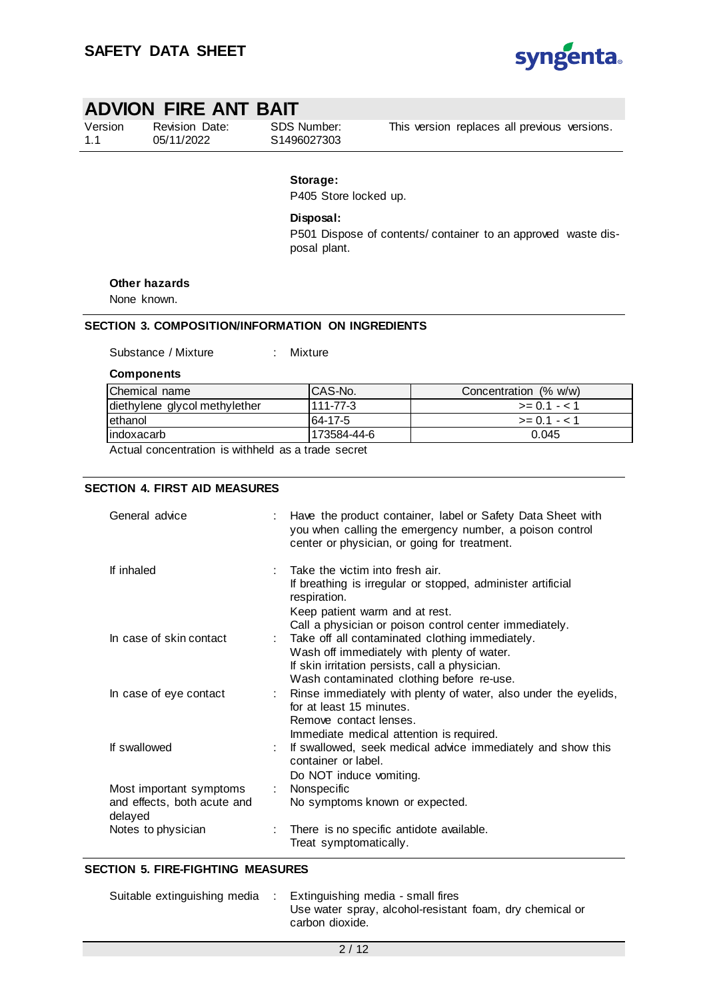

| Version |  |
|---------|--|
| 1.1     |  |

Revision Date: 05/11/2022

SDS Number: S1496027303

This version replaces all previous versions.

## **Storage:**

P405 Store locked up.

**Disposal:** 

P501 Dispose of contents/ container to an approved waste disposal plant.

#### **Other hazards**

None known.

## **SECTION 3. COMPOSITION/INFORMATION ON INGREDIENTS**

Substance / Mixture : Mixture

**Components**

| Chemical name                 | ICAS-No.    | Concentration (% w/w) |
|-------------------------------|-------------|-----------------------|
| diethylene glycol methylether | 111-77-3    | $>= 0.1 - 1.1$        |
| lethanol                      | 64-17-5     | $>= 0.1 - 1.1$        |
| lindoxacarb                   | 173584-44-6 | 0.045                 |

Actual concentration is withheld as a trade secret

#### **SECTION 4. FIRST AID MEASURES**

| General advice                                                    |   | Have the product container, label or Safety Data Sheet with<br>you when calling the emergency number, a poison control<br>center or physician, or going for treatment.                                     |
|-------------------------------------------------------------------|---|------------------------------------------------------------------------------------------------------------------------------------------------------------------------------------------------------------|
| If inhaled                                                        |   | Take the victim into fresh air.<br>If breathing is irregular or stopped, administer artificial<br>respiration.<br>Keep patient warm and at rest.<br>Call a physician or poison control center immediately. |
| In case of skin contact                                           |   | : Take off all contaminated clothing immediately.<br>Wash off immediately with plenty of water.<br>If skin irritation persists, call a physician.<br>Wash contaminated clothing before re-use.             |
| In case of eye contact                                            |   | Rinse immediately with plenty of water, also under the eyelids,<br>for at least 15 minutes.<br>Remove contact lenses.<br>Immediate medical attention is required.                                          |
| If swallowed                                                      |   | If swallowed, seek medical advice immediately and show this<br>container or label.<br>Do NOT induce vomiting.                                                                                              |
| Most important symptoms<br>and effects, both acute and<br>delayed | ÷ | Nonspecific<br>No symptoms known or expected.                                                                                                                                                              |
| Notes to physician                                                |   | There is no specific antidote available.<br>Treat symptomatically.                                                                                                                                         |

#### **SECTION 5. FIRE-FIGHTING MEASURES**

| Suitable extinguishing media | Extinguishing media - small fires                        |
|------------------------------|----------------------------------------------------------|
|                              | Use water spray, alcohol-resistant foam, dry chemical or |
|                              | carbon dioxide.                                          |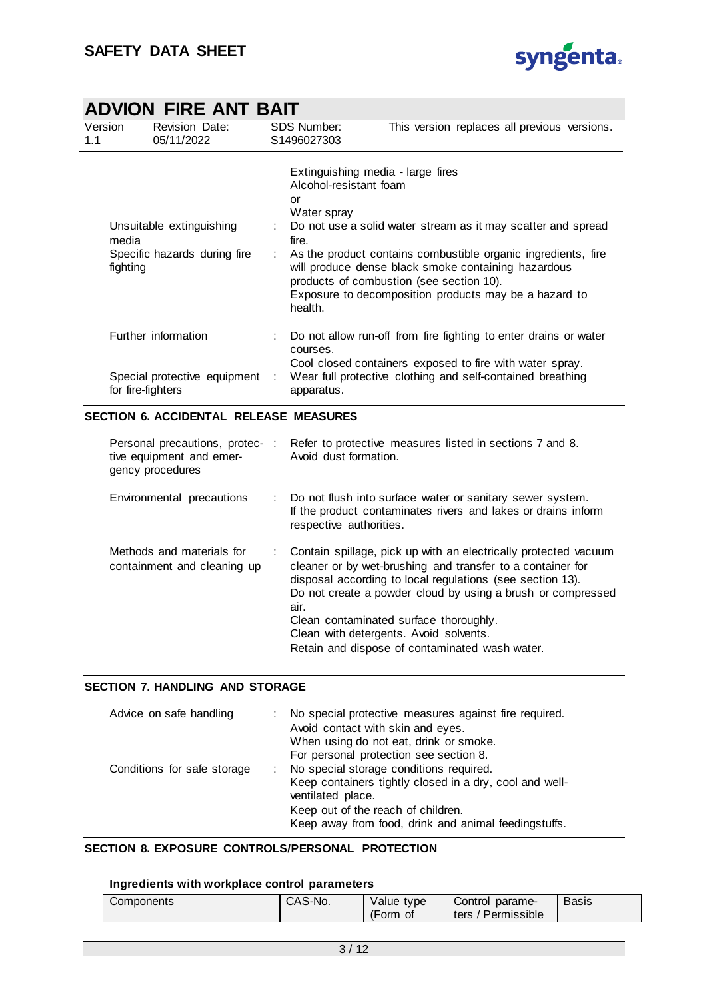

|     |                   | ADVION FIRE ANT BAIT                                     |   |                                                                 |                                                                                                                                                                                                                                                                                                                                |  |
|-----|-------------------|----------------------------------------------------------|---|-----------------------------------------------------------------|--------------------------------------------------------------------------------------------------------------------------------------------------------------------------------------------------------------------------------------------------------------------------------------------------------------------------------|--|
| 1.1 | Version           | Revision Date:<br>05/11/2022                             |   | <b>SDS Number:</b><br>S1496027303                               | This version replaces all previous versions.                                                                                                                                                                                                                                                                                   |  |
|     | media<br>fighting | Unsuitable extinguishing<br>Specific hazards during fire | ÷ | Alcohol-resistant foam<br>or<br>Water spray<br>fire.<br>health. | Extinguishing media - large fires<br>Do not use a solid water stream as it may scatter and spread<br>As the product contains combustible organic ingredients, fire<br>will produce dense black smoke containing hazardous<br>products of combustion (see section 10).<br>Exposure to decomposition products may be a hazard to |  |
|     |                   | Further information                                      |   | courses.                                                        | Do not allow run-off from fire fighting to enter drains or water                                                                                                                                                                                                                                                               |  |
|     | for fire-fighters | Special protective equipment :                           |   | apparatus.                                                      | Cool closed containers exposed to fire with water spray.<br>Wear full protective clothing and self-contained breathing                                                                                                                                                                                                         |  |

## **SECTION 6. ACCIDENTAL RELEASE MEASURES**

| tive equipment and emer-<br>gency procedures             | Personal precautions, protec-: Refer to protective measures listed in sections 7 and 8.<br>Avoid dust formation.                                                                                                                                                                                                                                                                                          |
|----------------------------------------------------------|-----------------------------------------------------------------------------------------------------------------------------------------------------------------------------------------------------------------------------------------------------------------------------------------------------------------------------------------------------------------------------------------------------------|
| Environmental precautions                                | : Do not flush into surface water or sanitary sewer system.<br>If the product contaminates rivers and lakes or drains inform<br>respective authorities.                                                                                                                                                                                                                                                   |
| Methods and materials for<br>containment and cleaning up | : Contain spillage, pick up with an electrically protected vacuum<br>cleaner or by wet-brushing and transfer to a container for<br>disposal according to local regulations (see section 13).<br>Do not create a powder cloud by using a brush or compressed<br>air.<br>Clean contaminated surface thoroughly.<br>Clean with detergents. Avoid solvents.<br>Retain and dispose of contaminated wash water. |

#### **SECTION 7. HANDLING AND STORAGE**

| Advice on safe handling     | : No special protective measures against fire required.<br>Avoid contact with skin and eyes.<br>When using do not eat, drink or smoke.<br>For personal protection see section 8.                                        |
|-----------------------------|-------------------------------------------------------------------------------------------------------------------------------------------------------------------------------------------------------------------------|
| Conditions for safe storage | : No special storage conditions required.<br>Keep containers tightly closed in a dry, cool and well-<br>ventilated place.<br>Keep out of the reach of children.<br>Keep away from food, drink and animal feedingstuffs. |

## **SECTION 8. EXPOSURE CONTROLS/PERSONAL PROTECTION**

### **Ingredients with workplace control parameters**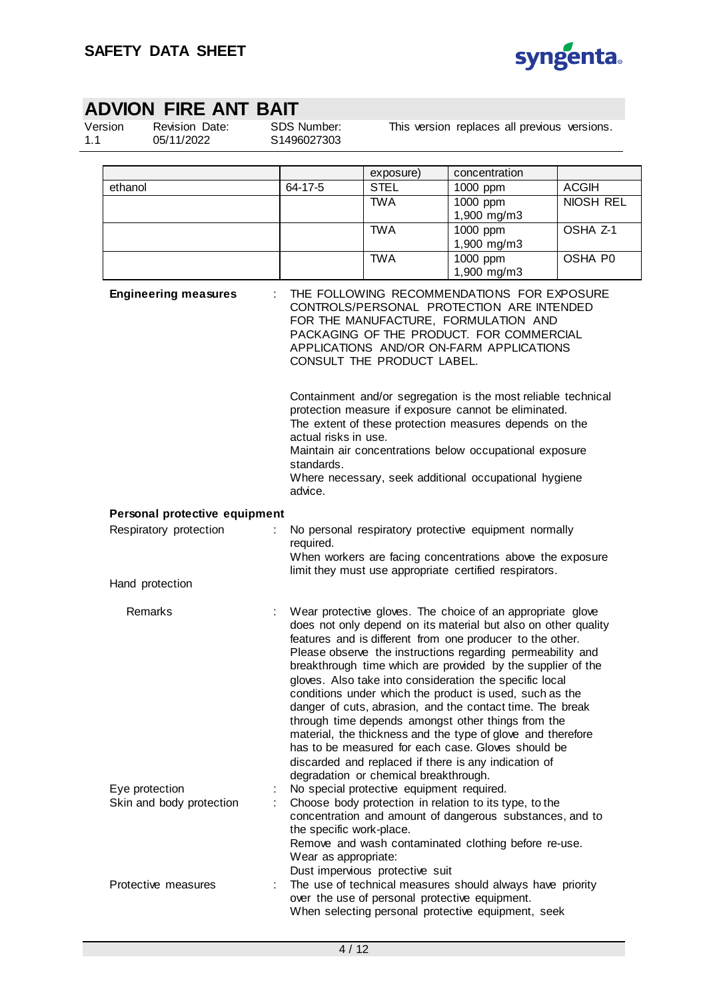

Version 1.1

Revision Date: 05/11/2022

SDS Number: S1496027303

This version replaces all previous versions.

|                               |   |                                                  | exposure)                                 | concentration                                                                                                                                                                                                                                                                                                                                                                                                                                                                                                                                                                                                                                                                                                                                |                           |
|-------------------------------|---|--------------------------------------------------|-------------------------------------------|----------------------------------------------------------------------------------------------------------------------------------------------------------------------------------------------------------------------------------------------------------------------------------------------------------------------------------------------------------------------------------------------------------------------------------------------------------------------------------------------------------------------------------------------------------------------------------------------------------------------------------------------------------------------------------------------------------------------------------------------|---------------------------|
| ethanol                       |   | 64-17-5                                          | <b>STEL</b><br><b>TWA</b>                 | 1000 ppm<br>1000 ppm                                                                                                                                                                                                                                                                                                                                                                                                                                                                                                                                                                                                                                                                                                                         | <b>ACGIH</b><br>NIOSH REL |
|                               |   |                                                  |                                           | 1,900 mg/m3                                                                                                                                                                                                                                                                                                                                                                                                                                                                                                                                                                                                                                                                                                                                  |                           |
|                               |   |                                                  | <b>TWA</b>                                | 1000 ppm                                                                                                                                                                                                                                                                                                                                                                                                                                                                                                                                                                                                                                                                                                                                     | OSHA Z-1                  |
|                               |   |                                                  |                                           | 1,900 mg/m3                                                                                                                                                                                                                                                                                                                                                                                                                                                                                                                                                                                                                                                                                                                                  |                           |
|                               |   |                                                  | <b>TWA</b>                                | 1000 ppm                                                                                                                                                                                                                                                                                                                                                                                                                                                                                                                                                                                                                                                                                                                                     | OSHA P0                   |
|                               |   |                                                  |                                           | 1,900 mg/m3                                                                                                                                                                                                                                                                                                                                                                                                                                                                                                                                                                                                                                                                                                                                  |                           |
| <b>Engineering measures</b>   |   | actual risks in use.<br>standards.<br>advice.    | CONSULT THE PRODUCT LABEL.                | THE FOLLOWING RECOMMENDATIONS FOR EXPOSURE<br>CONTROLS/PERSONAL PROTECTION ARE INTENDED<br>FOR THE MANUFACTURE, FORMULATION AND<br>PACKAGING OF THE PRODUCT. FOR COMMERCIAL<br>APPLICATIONS AND/OR ON-FARM APPLICATIONS<br>Containment and/or segregation is the most reliable technical<br>protection measure if exposure cannot be eliminated.<br>The extent of these protection measures depends on the<br>Maintain air concentrations below occupational exposure<br>Where necessary, seek additional occupational hygiene                                                                                                                                                                                                               |                           |
| Personal protective equipment |   |                                                  |                                           |                                                                                                                                                                                                                                                                                                                                                                                                                                                                                                                                                                                                                                                                                                                                              |                           |
| Respiratory protection        | ÷ |                                                  |                                           | No personal respiratory protective equipment normally                                                                                                                                                                                                                                                                                                                                                                                                                                                                                                                                                                                                                                                                                        |                           |
|                               |   | required.                                        |                                           | When workers are facing concentrations above the exposure                                                                                                                                                                                                                                                                                                                                                                                                                                                                                                                                                                                                                                                                                    |                           |
| Hand protection               |   |                                                  |                                           | limit they must use appropriate certified respirators.                                                                                                                                                                                                                                                                                                                                                                                                                                                                                                                                                                                                                                                                                       |                           |
|                               |   |                                                  |                                           |                                                                                                                                                                                                                                                                                                                                                                                                                                                                                                                                                                                                                                                                                                                                              |                           |
| Remarks                       |   |                                                  | degradation or chemical breakthrough.     | Wear protective gloves. The choice of an appropriate glove<br>does not only depend on its material but also on other quality<br>features and is different from one producer to the other.<br>Please observe the instructions regarding permeability and<br>breakthrough time which are provided by the supplier of the<br>gloves. Also take into consideration the specific local<br>conditions under which the product is used, such as the<br>danger of cuts, abrasion, and the contact time. The break<br>through time depends amongst other things from the<br>material, the thickness and the type of glove and therefore<br>has to be measured for each case. Gloves should be<br>discarded and replaced if there is any indication of |                           |
| Eye protection                |   |                                                  | No special protective equipment required. |                                                                                                                                                                                                                                                                                                                                                                                                                                                                                                                                                                                                                                                                                                                                              |                           |
| Skin and body protection      |   | the specific work-place.<br>Wear as appropriate: | Dust impervious protective suit           | Choose body protection in relation to its type, to the<br>concentration and amount of dangerous substances, and to<br>Remove and wash contaminated clothing before re-use.                                                                                                                                                                                                                                                                                                                                                                                                                                                                                                                                                                   |                           |
| Protective measures           | ÷ |                                                  |                                           | The use of technical measures should always have priority<br>over the use of personal protective equipment.<br>When selecting personal protective equipment, seek                                                                                                                                                                                                                                                                                                                                                                                                                                                                                                                                                                            |                           |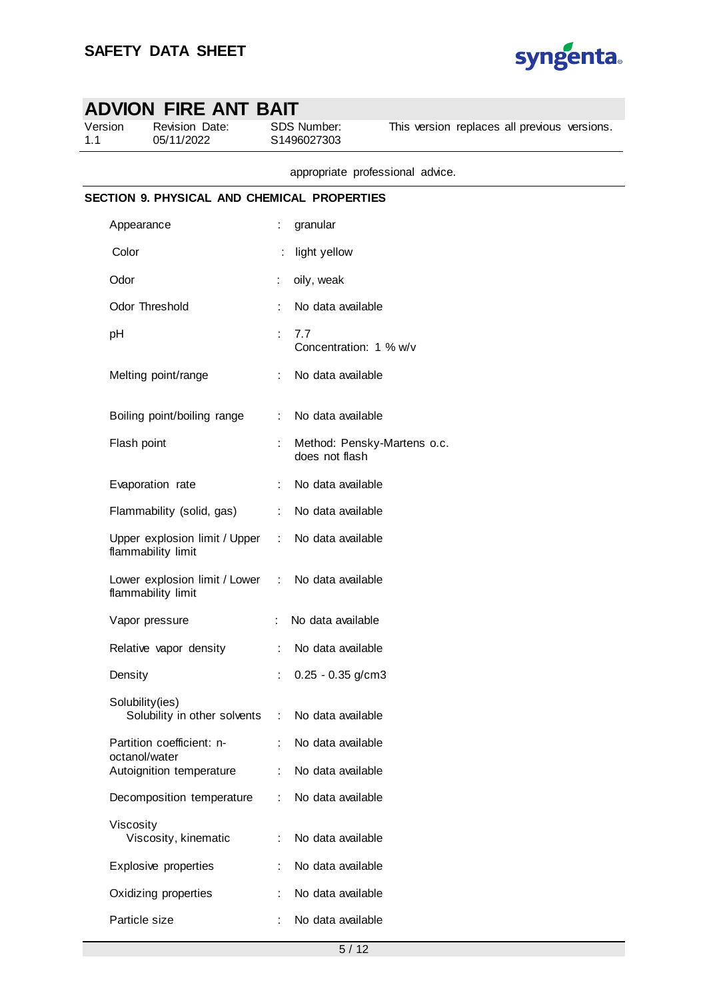

| 1.1 | ADVION FIRE ANT BAIT<br>Version<br>Revision Date:<br>05/11/2022 |           | SDS Number:<br>This version replaces all previous versions.<br>S1496027303 |
|-----|-----------------------------------------------------------------|-----------|----------------------------------------------------------------------------|
|     |                                                                 |           | appropriate professional advice.                                           |
|     | SECTION 9. PHYSICAL AND CHEMICAL PROPERTIES                     |           |                                                                            |
|     | Appearance                                                      | ÷         | granular                                                                   |
|     | Color                                                           |           | light yellow                                                               |
|     | Odor                                                            |           | oily, weak                                                                 |
|     | Odor Threshold                                                  |           | No data available                                                          |
|     | рH                                                              | ÷         | 7.7<br>Concentration: 1 % w/v                                              |
|     | Melting point/range                                             |           | No data available                                                          |
|     | Boiling point/boiling range                                     |           | No data available                                                          |
|     | Flash point                                                     |           | Method: Pensky-Martens o.c.<br>does not flash                              |
|     | Evaporation rate                                                |           | No data available                                                          |
|     | Flammability (solid, gas)                                       |           | No data available                                                          |
|     | Upper explosion limit / Upper<br>flammability limit             | ÷         | No data available                                                          |
|     | Lower explosion limit / Lower<br>flammability limit             | $\sim$ 1. | No data available                                                          |
|     | Vapor pressure                                                  |           | No data available                                                          |
|     | Relative vapor density                                          |           | No data available                                                          |
|     | Density                                                         |           | $0.25 - 0.35$ g/cm3                                                        |
|     | Solubility(ies)<br>Solubility in other solvents                 | ÷         | No data available                                                          |
|     | Partition coefficient: n-                                       |           | No data available                                                          |
|     | octanol/water<br>Autoignition temperature                       |           | No data available                                                          |
|     | Decomposition temperature                                       | ÷         | No data available                                                          |
|     | Viscosity<br>Viscosity, kinematic                               | ÷         | No data available                                                          |
|     | Explosive properties                                            |           | No data available                                                          |
|     | Oxidizing properties                                            |           | No data available                                                          |
|     | Particle size                                                   |           | No data available                                                          |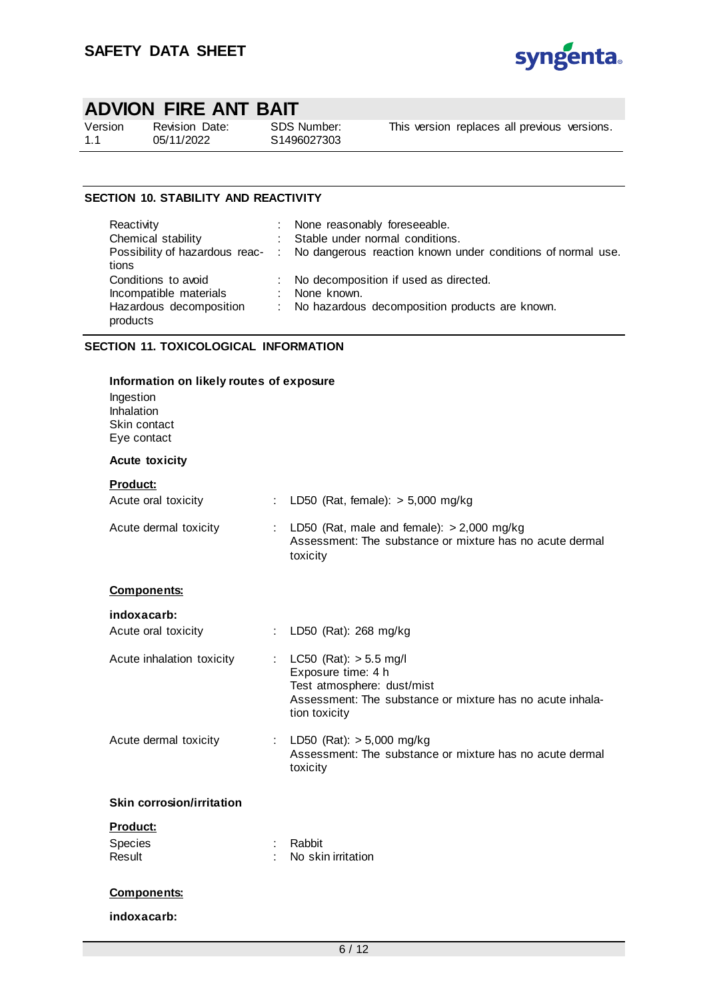

| Version | Б |
|---------|---|
| 1.1     |   |

Revision Date: 05/11/2022

SDS Number: S1496027303

This version replaces all previous versions.

## **SECTION 10. STABILITY AND REACTIVITY**

| Reactivity                          | : None reasonably foreseeable.                                                               |
|-------------------------------------|----------------------------------------------------------------------------------------------|
| Chemical stability                  | : Stable under normal conditions.                                                            |
| tions                               | Possibility of hazardous reac- : No dangerous reaction known under conditions of normal use. |
| Conditions to avoid                 | : No decomposition if used as directed.                                                      |
| Incompatible materials              | : None known.                                                                                |
| Hazardous decomposition<br>products | : No hazardous decomposition products are known.                                             |

#### **SECTION 11. TOXICOLOGICAL INFORMATION**

| Information on likely routes of exposure<br>Ingestion<br>Inhalation<br>Skin contact<br>Eye contact |                             |                                                                                                                                                            |
|----------------------------------------------------------------------------------------------------|-----------------------------|------------------------------------------------------------------------------------------------------------------------------------------------------------|
| <b>Acute toxicity</b>                                                                              |                             |                                                                                                                                                            |
| <b>Product:</b><br>Acute oral toxicity                                                             | $\mathcal{L}^{\mathcal{L}}$ | LD50 (Rat, female): $> 5,000$ mg/kg                                                                                                                        |
| Acute dermal toxicity                                                                              |                             | LD50 (Rat, male and female): $> 2,000$ mg/kg<br>Assessment: The substance or mixture has no acute dermal<br>toxicity                                       |
| <b>Components:</b>                                                                                 |                             |                                                                                                                                                            |
| indoxacarb:<br>Acute oral toxicity                                                                 | ÷                           | LD50 (Rat): 268 mg/kg                                                                                                                                      |
| Acute inhalation toxicity                                                                          | ÷                           | LC50 (Rat): $> 5.5$ mg/l<br>Exposure time: 4 h<br>Test atmosphere: dust/mist<br>Assessment: The substance or mixture has no acute inhala-<br>tion toxicity |
| Acute dermal toxicity                                                                              |                             | LD50 (Rat): $> 5,000$ mg/kg<br>Assessment: The substance or mixture has no acute dermal<br>toxicity                                                        |
| <b>Skin corrosion/irritation</b>                                                                   |                             |                                                                                                                                                            |
| Product:<br>Species<br>Result                                                                      | $\cdot$                     | Rabbit<br>No skin irritation                                                                                                                               |
| <b>Components:</b>                                                                                 |                             |                                                                                                                                                            |
| indoxacarb:                                                                                        |                             |                                                                                                                                                            |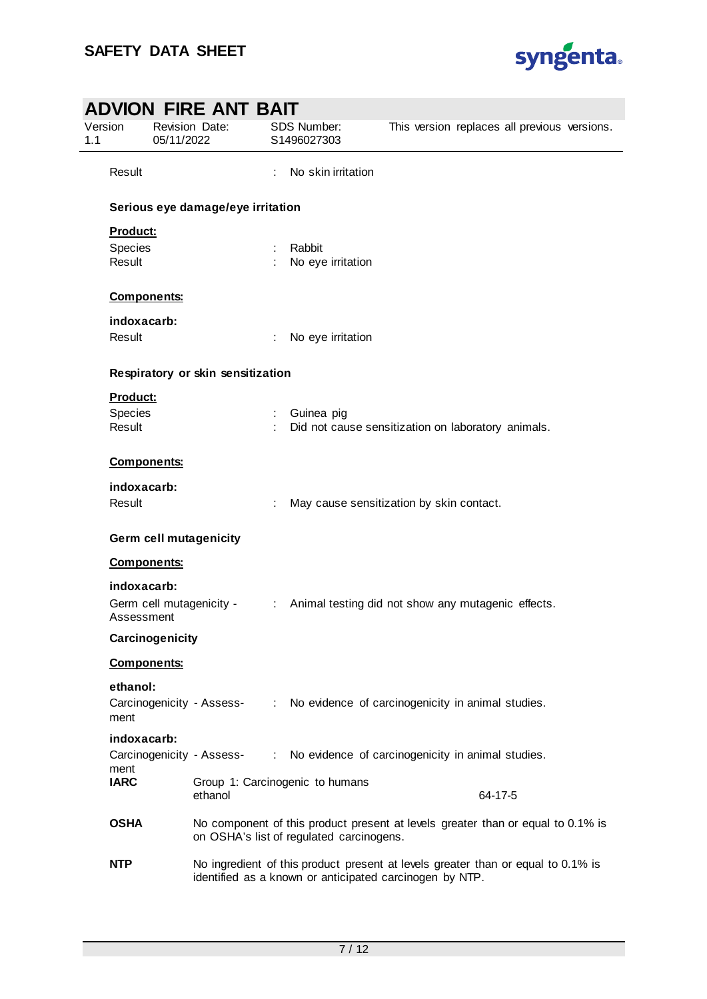

| Version<br>1.1 | ADVION FIRE ANT BAIT<br><b>Revision Date:</b><br>05/11/2022 | SDS Number:<br>S1496027303                              | This version replaces all previous versions.                                     |
|----------------|-------------------------------------------------------------|---------------------------------------------------------|----------------------------------------------------------------------------------|
| Result         |                                                             | No skin irritation                                      |                                                                                  |
|                | Serious eye damage/eye irritation                           |                                                         |                                                                                  |
|                | Product:                                                    |                                                         |                                                                                  |
| Species        |                                                             | Rabbit                                                  |                                                                                  |
| Result         |                                                             | No eye irritation                                       |                                                                                  |
|                | <b>Components:</b>                                          |                                                         |                                                                                  |
|                | indoxacarb:                                                 |                                                         |                                                                                  |
| Result         |                                                             | No eye irritation                                       |                                                                                  |
|                | Respiratory or skin sensitization                           |                                                         |                                                                                  |
|                | Product:                                                    |                                                         |                                                                                  |
| Species        |                                                             | Guinea pig                                              |                                                                                  |
| Result         |                                                             |                                                         | Did not cause sensitization on laboratory animals.                               |
|                | <b>Components:</b>                                          |                                                         |                                                                                  |
|                | indoxacarb:                                                 |                                                         |                                                                                  |
| Result         |                                                             |                                                         | May cause sensitization by skin contact.                                         |
|                | <b>Germ cell mutagenicity</b>                               |                                                         |                                                                                  |
|                | <b>Components:</b>                                          |                                                         |                                                                                  |
|                | indoxacarb:                                                 |                                                         |                                                                                  |
|                | Germ cell mutagenicity -<br>Assessment                      | $\mathcal{L}_{\mathrm{max}}$                            | Animal testing did not show any mutagenic effects.                               |
|                | Carcinogenicity                                             |                                                         |                                                                                  |
|                | <b>Components:</b>                                          |                                                         |                                                                                  |
|                | ethanol:                                                    |                                                         |                                                                                  |
| ment           |                                                             |                                                         | Carcinogenicity - Assess- : No evidence of carcinogenicity in animal studies.    |
|                | indoxacarb:                                                 |                                                         |                                                                                  |
| ment           | Carcinogenicity - Assess-                                   |                                                         | No evidence of carcinogenicity in animal studies.                                |
| <b>IARC</b>    | ethanol                                                     | Group 1: Carcinogenic to humans                         | 64-17-5                                                                          |
| <b>OSHA</b>    |                                                             | on OSHA's list of regulated carcinogens.                | No component of this product present at levels greater than or equal to 0.1% is  |
| <b>NTP</b>     |                                                             | identified as a known or anticipated carcinogen by NTP. | No ingredient of this product present at levels greater than or equal to 0.1% is |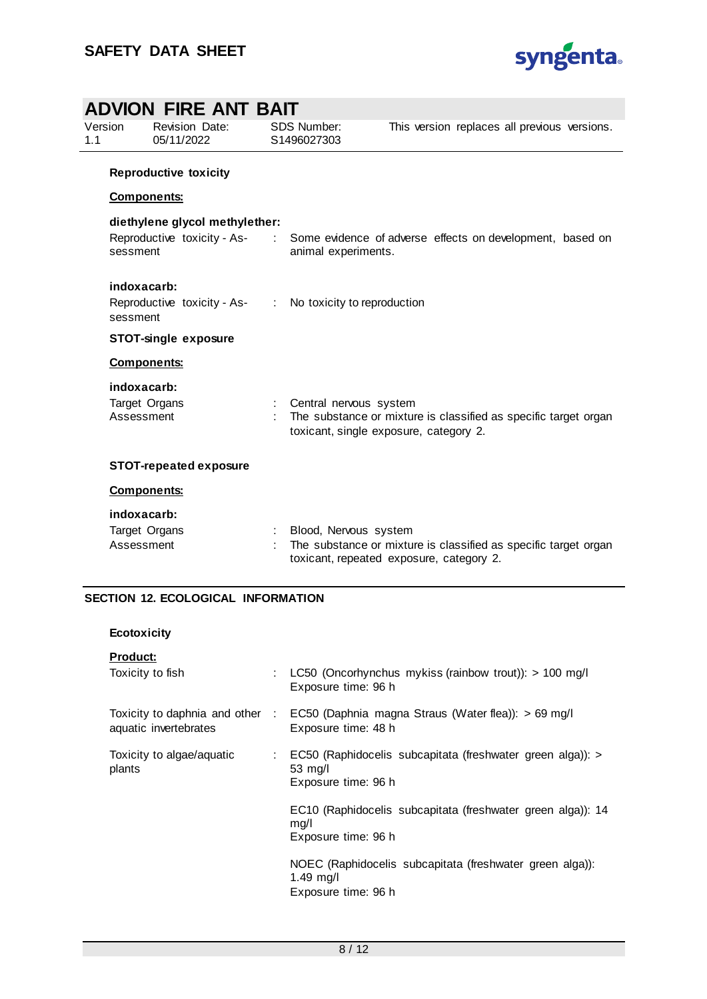

|                | ADVION FIRE ANT BAIT                                                      |               |                                                                   |                                                                 |  |
|----------------|---------------------------------------------------------------------------|---------------|-------------------------------------------------------------------|-----------------------------------------------------------------|--|
| Version<br>1.1 | Revision Date:<br>05/11/2022                                              |               | <b>SDS Number:</b><br>S1496027303                                 | This version replaces all previous versions.                    |  |
|                | <b>Reproductive toxicity</b>                                              |               |                                                                   |                                                                 |  |
|                | <b>Components:</b>                                                        |               |                                                                   |                                                                 |  |
|                | diethylene glycol methylether:<br>Reproductive toxicity - As-<br>sessment | $\mathcal{L}$ | animal experiments.                                               | Some evidence of adverse effects on development, based on       |  |
|                | indoxacarb:<br>Reproductive toxicity - As- :<br>sessment                  |               | No toxicity to reproduction                                       |                                                                 |  |
|                | <b>STOT-single exposure</b>                                               |               |                                                                   |                                                                 |  |
|                | <b>Components:</b>                                                        |               |                                                                   |                                                                 |  |
|                | indoxacarb:<br>Target Organs<br>Assessment                                |               | Central nervous system<br>toxicant, single exposure, category 2.  | The substance or mixture is classified as specific target organ |  |
|                | <b>STOT-repeated exposure</b>                                             |               |                                                                   |                                                                 |  |
|                | <b>Components:</b>                                                        |               |                                                                   |                                                                 |  |
|                | indoxacarb:<br>Target Organs<br>Assessment                                |               | Blood, Nervous system<br>toxicant, repeated exposure, category 2. | The substance or mixture is classified as specific target organ |  |

# **SECTION 12. ECOLOGICAL INFORMATION**

| <b>Ecotoxicity</b> |  |
|--------------------|--|
|--------------------|--|

| <b>Product:</b>                     |   |                                                                                                            |
|-------------------------------------|---|------------------------------------------------------------------------------------------------------------|
| Toxicity to fish                    | ÷ | LC50 (Oncorhynchus mykiss (rainbow trout)): $> 100$ mg/l<br>Exposure time: 96 h                            |
| aquatic invertebrates               |   | Toxicity to daphnia and other : EC50 (Daphnia magna Straus (Water flea)): > 69 mg/l<br>Exposure time: 48 h |
| Toxicity to algae/aquatic<br>plants |   | : EC50 (Raphidocelis subcapitata (freshwater green alga)): ><br>$53 \text{ mg/l}$<br>Exposure time: 96 h   |
|                                     |   | EC10 (Raphidocelis subcapitata (freshwater green alga)): 14<br>mq/l<br>Exposure time: 96 h                 |
|                                     |   | NOEC (Raphidocelis subcapitata (freshwater green alga)):<br>$1.49$ mg/l<br>Exposure time: 96 h             |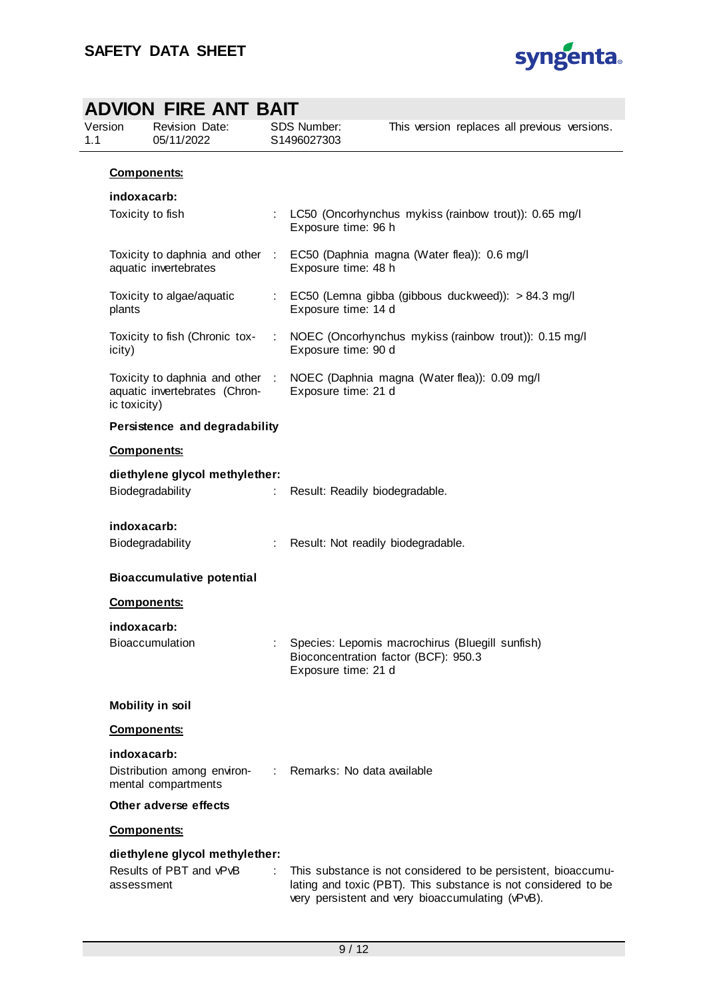

|                |                                  | <b>ADVION FIRE ANT BAIT</b>                                      |   |                                    |                                                                                                                                                                                     |
|----------------|----------------------------------|------------------------------------------------------------------|---|------------------------------------|-------------------------------------------------------------------------------------------------------------------------------------------------------------------------------------|
| Version<br>1.1 |                                  | <b>Revision Date:</b><br>05/11/2022                              |   | SDS Number:<br>S1496027303         | This version replaces all previous versions.                                                                                                                                        |
|                |                                  | <b>Components:</b>                                               |   |                                    |                                                                                                                                                                                     |
|                | indoxacarb:                      |                                                                  |   |                                    |                                                                                                                                                                                     |
|                |                                  | Toxicity to fish                                                 |   | Exposure time: 96 h                | : LC50 (Oncorhynchus mykiss (rainbow trout)): 0.65 mg/l                                                                                                                             |
|                |                                  | aquatic invertebrates                                            |   | Exposure time: 48 h                | Toxicity to daphnia and other : EC50 (Daphnia magna (Water flea)): 0.6 mg/l                                                                                                         |
|                | plants                           | Toxicity to algae/aquatic                                        |   | Exposure time: 14 d                | : EC50 (Lemna gibba (gibbous duckweed)): > 84.3 mg/l                                                                                                                                |
|                | icity)                           | Toxicity to fish (Chronic tox-                                   | ÷ | Exposure time: 90 d                | NOEC (Oncorhynchus mykiss (rainbow trout)): 0.15 mg/l                                                                                                                               |
|                | ic toxicity)                     | Toxicity to daphnia and other :<br>aquatic invertebrates (Chron- |   | Exposure time: 21 d                | NOEC (Daphnia magna (Water flea)): 0.09 mg/l                                                                                                                                        |
|                |                                  | Persistence and degradability                                    |   |                                    |                                                                                                                                                                                     |
|                |                                  | <b>Components:</b>                                               |   |                                    |                                                                                                                                                                                     |
|                | diethylene glycol methylether:   |                                                                  |   |                                    |                                                                                                                                                                                     |
|                |                                  | Biodegradability                                                 |   | Result: Readily biodegradable.     |                                                                                                                                                                                     |
|                | indoxacarb:                      |                                                                  |   |                                    |                                                                                                                                                                                     |
|                |                                  | Biodegradability                                                 | ÷ | Result: Not readily biodegradable. |                                                                                                                                                                                     |
|                | <b>Bioaccumulative potential</b> |                                                                  |   |                                    |                                                                                                                                                                                     |
|                | <b>Components:</b>               |                                                                  |   |                                    |                                                                                                                                                                                     |
|                | indoxacarb:                      |                                                                  |   |                                    |                                                                                                                                                                                     |
|                |                                  | Bioaccumulation                                                  |   | Exposure time: 21 d                | Species: Lepomis macrochirus (Bluegill sunfish)<br>Bioconcentration factor (BCF): 950.3                                                                                             |
|                |                                  | Mobility in soil                                                 |   |                                    |                                                                                                                                                                                     |
|                |                                  | <b>Components:</b>                                               |   |                                    |                                                                                                                                                                                     |
|                | indoxacarb:                      |                                                                  |   |                                    |                                                                                                                                                                                     |
|                |                                  | Distribution among environ-<br>mental compartments               |   | Remarks: No data available         |                                                                                                                                                                                     |
|                |                                  | Other adverse effects                                            |   |                                    |                                                                                                                                                                                     |
|                |                                  | <b>Components:</b>                                               |   |                                    |                                                                                                                                                                                     |
|                | assessment                       | diethylene glycol methylether:<br>Results of PBT and vPvB        |   |                                    | This substance is not considered to be persistent, bioaccumu-<br>lating and toxic (PBT). This substance is not considered to be<br>very persistent and very bioaccumulating (vPvB). |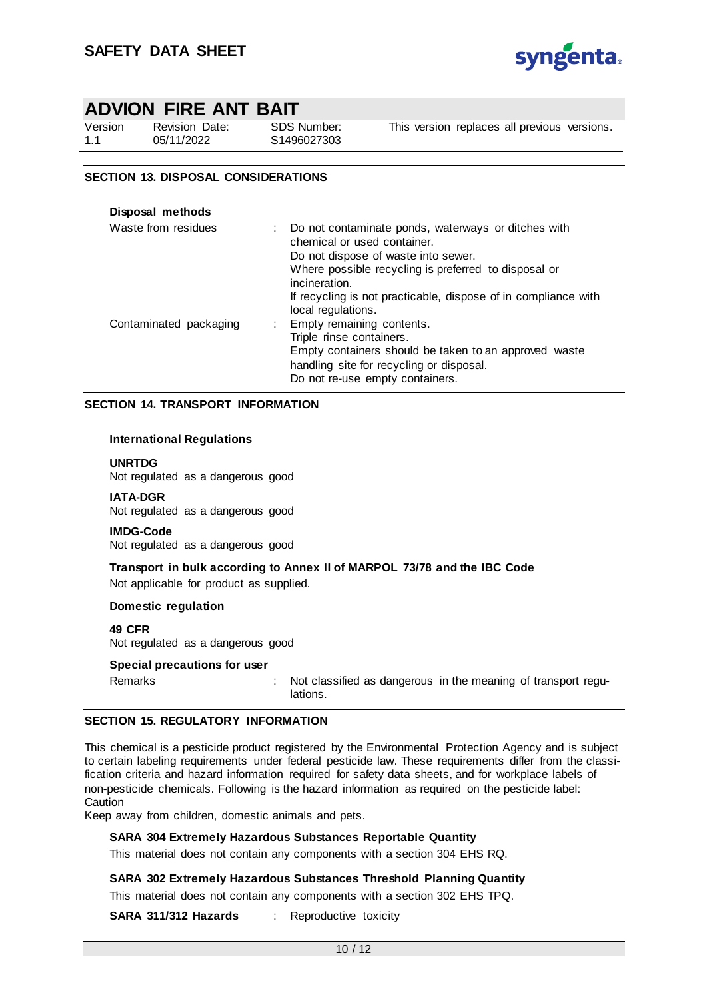

Version 1.1 Revision Date: 05/11/2022

SDS Number: S1496027303

This version replaces all previous versions.

### **SECTION 13. DISPOSAL CONSIDERATIONS**

| Disposal methods       |                                                                                                                                                                                                                                                                      |
|------------------------|----------------------------------------------------------------------------------------------------------------------------------------------------------------------------------------------------------------------------------------------------------------------|
| Waste from residues    | Do not contaminate ponds, waterways or ditches with<br>chemical or used container.<br>Do not dispose of waste into sewer.<br>Where possible recycling is preferred to disposal or<br>incineration.<br>If recycling is not practicable, dispose of in compliance with |
|                        | local regulations.                                                                                                                                                                                                                                                   |
| Contaminated packaging | Empty remaining contents.                                                                                                                                                                                                                                            |
|                        | Triple rinse containers.                                                                                                                                                                                                                                             |
|                        | Empty containers should be taken to an approved waste                                                                                                                                                                                                                |
|                        | handling site for recycling or disposal.                                                                                                                                                                                                                             |
|                        | Do not re-use empty containers.                                                                                                                                                                                                                                      |

#### **SECTION 14. TRANSPORT INFORMATION**

#### **International Regulations**

**UNRTDG**

Not regulated as a dangerous good

**IATA-DGR** Not regulated as a dangerous good

**IMDG-Code** Not regulated as a dangerous good

**Transport in bulk according to Annex II of MARPOL 73/78 and the IBC Code** Not applicable for product as supplied.

#### **Domestic regulation**

**49 CFR** Not regulated as a dangerous good

#### **Special precautions for user**

Remarks : Not classified as dangerous in the meaning of transport regulations.

#### **SECTION 15. REGULATORY INFORMATION**

This chemical is a pesticide product registered by the Environmental Protection Agency and is subject to certain labeling requirements under federal pesticide law. These requirements differ from the classification criteria and hazard information required for safety data sheets, and for workplace labels of non-pesticide chemicals. Following is the hazard information as required on the pesticide label: Caution

Keep away from children, domestic animals and pets.

#### **SARA 304 Extremely Hazardous Substances Reportable Quantity**

This material does not contain any components with a section 304 EHS RQ.

**SARA 302 Extremely Hazardous Substances Threshold Planning Quantity**

This material does not contain any components with a section 302 EHS TPQ.

**SARA 311/312 Hazards** : Reproductive toxicity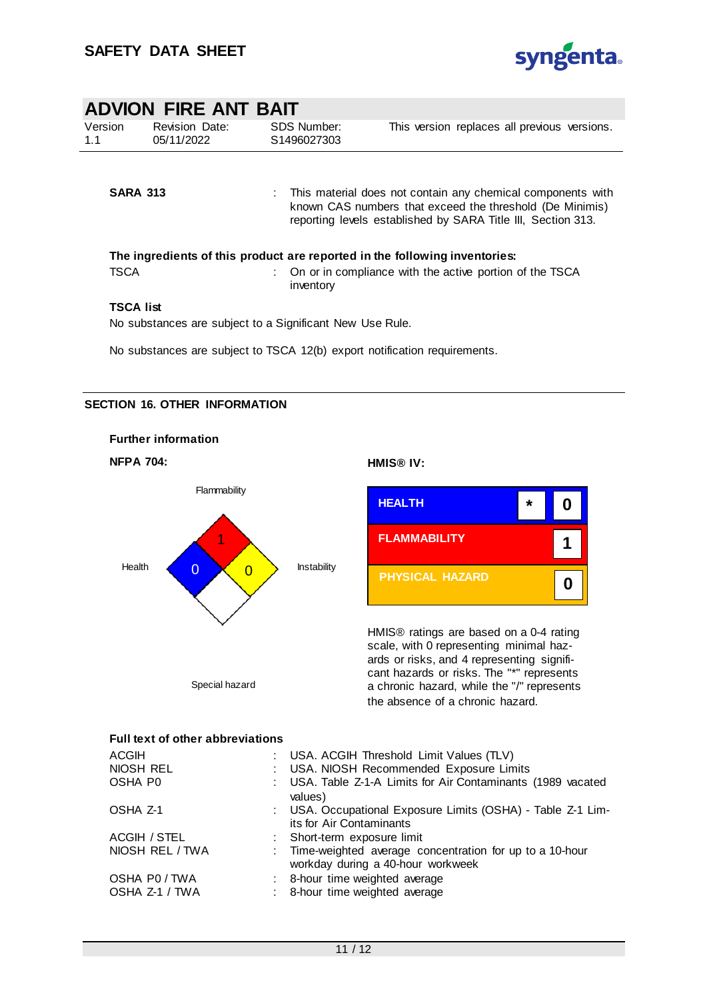

|                  | ADVION FIRE ANT BAIT                |                                                          |                                                                                                                                                                                         |
|------------------|-------------------------------------|----------------------------------------------------------|-----------------------------------------------------------------------------------------------------------------------------------------------------------------------------------------|
| Version<br>1.1   | <b>Revision Date:</b><br>05/11/2022 | <b>SDS Number:</b><br>S1496027303                        | This version replaces all previous versions.                                                                                                                                            |
| <b>SARA 313</b>  |                                     |                                                          | This material does not contain any chemical components with<br>known CAS numbers that exceed the threshold (De Minimis)<br>reporting levels established by SARA Title III, Section 313. |
|                  |                                     |                                                          | The ingredients of this product are reported in the following inventories:                                                                                                              |
| TSCA             |                                     | inventory                                                | On or in compliance with the active portion of the TSCA                                                                                                                                 |
| <b>TSCA list</b> |                                     | No substances are subject to a Significant New Use Rule. |                                                                                                                                                                                         |

No substances are subject to TSCA 12(b) export notification requirements.

### **SECTION 16. OTHER INFORMATION**







HMIS® ratings are based on a 0-4 rating scale, with 0 representing minimal hazards or risks, and 4 representing significant hazards or risks. The "\*" represents a chronic hazard, while the "/" represents the absence of a chronic hazard.

## **Full text of other abbreviations**

| <b>ACGIH</b>        | : USA. ACGIH Threshold Limit Values (TLV)                                                      |
|---------------------|------------------------------------------------------------------------------------------------|
| NIOSH REL           | : USA. NIOSH Recommended Exposure Limits                                                       |
| OSHA P <sub>0</sub> | : USA. Table Z-1-A Limits for Air Contaminants (1989 vacated<br>values)                        |
| OSHA Z-1            | : USA. Occupational Exposure Limits (OSHA) - Table Z-1 Lim-<br>its for Air Contaminants        |
| ACGIH / STEL        | : Short-term exposure limit                                                                    |
| NIOSH REL / TWA     | : Time-weighted average concentration for up to a 10-hour<br>workday during a 40-hour workweek |
| OSHA P0 / TWA       | : 8-hour time weighted average                                                                 |
| OSHA Z-1 / TWA      | : 8-hour time weighted average                                                                 |